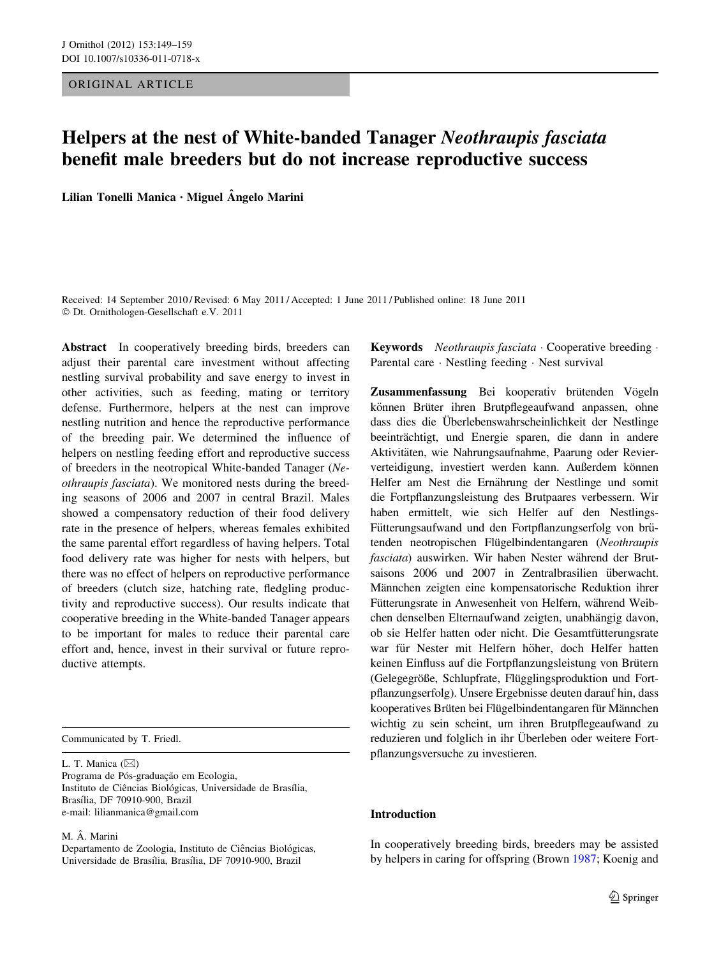## ORIGINAL ARTICLE

# Helpers at the nest of White-banded Tanager Neothraupis fasciata benefit male breeders but do not increase reproductive success

Lilian Tonelli Manica · Miguel Ângelo Marini

Received: 14 September 2010 / Revised: 6 May 2011 / Accepted: 1 June 2011 / Published online: 18 June 2011 © Dt. Ornithologen-Gesellschaft e.V. 2011

Abstract In cooperatively breeding birds, breeders can adjust their parental care investment without affecting nestling survival probability and save energy to invest in other activities, such as feeding, mating or territory defense. Furthermore, helpers at the nest can improve nestling nutrition and hence the reproductive performance of the breeding pair. We determined the influence of helpers on nestling feeding effort and reproductive success of breeders in the neotropical White-banded Tanager (Neothraupis fasciata). We monitored nests during the breeding seasons of 2006 and 2007 in central Brazil. Males showed a compensatory reduction of their food delivery rate in the presence of helpers, whereas females exhibited the same parental effort regardless of having helpers. Total food delivery rate was higher for nests with helpers, but there was no effect of helpers on reproductive performance of breeders (clutch size, hatching rate, fledgling productivity and reproductive success). Our results indicate that cooperative breeding in the White-banded Tanager appears to be important for males to reduce their parental care effort and, hence, invest in their survival or future reproductive attempts.

Communicated by T. Friedl.

L. T. Manica  $(\boxtimes)$ Programa de Pós-graduação em Ecologia, Instituto de Ciências Biológicas, Universidade de Brasília, Brasília, DF 70910-900, Brazil e-mail: lilianmanica@gmail.com

M. Â. Marini

Departamento de Zoologia, Instituto de Ciências Biológicas, Universidade de Brasília, Brasília, DF 70910-900, Brazil

Keywords Neothraupis fasciata · Cooperative breeding · Parental care · Nestling feeding · Nest survival

Zusammenfassung Bei kooperativ brütenden Vögeln können Brüter ihren Brutpflegeaufwand anpassen, ohne dass dies die Überlebenswahrscheinlichkeit der Nestlinge beeinträchtigt, und Energie sparen, die dann in andere Aktivitäten, wie Nahrungsaufnahme, Paarung oder Revierverteidigung, investiert werden kann. Außerdem können Helfer am Nest die Ernährung der Nestlinge und somit die Fortpflanzungsleistung des Brutpaares verbessern. Wir haben ermittelt, wie sich Helfer auf den Nestlings-Fütterungsaufwand und den Fortpflanzungserfolg von brütenden neotropischen Flügelbindentangaren (Neothraupis fasciata) auswirken. Wir haben Nester während der Brutsaisons 2006 und 2007 in Zentralbrasilien überwacht. Männchen zeigten eine kompensatorische Reduktion ihrer Fütterungsrate in Anwesenheit von Helfern, während Weibchen denselben Elternaufwand zeigten, unabhängig davon, ob sie Helfer hatten oder nicht. Die Gesamtfütterungsrate war für Nester mit Helfern höher, doch Helfer hatten keinen Einfluss auf die Fortpflanzungsleistung von Brütern (Gelegegröße, Schlupfrate, Flügglingsproduktion und Fortpflanzungserfolg). Unsere Ergebnisse deuten darauf hin, dass kooperatives Brüten bei Flügelbindentangaren für Männchen wichtig zu sein scheint, um ihren Brutpflegeaufwand zu reduzieren und folglich in ihr Überleben oder weitere Fortpflanzungsversuche zu investieren.

### Introduction

In cooperatively breeding birds, breeders may be assisted by helpers in caring for offspring (Brown [1987;](#page-9-0) Koenig and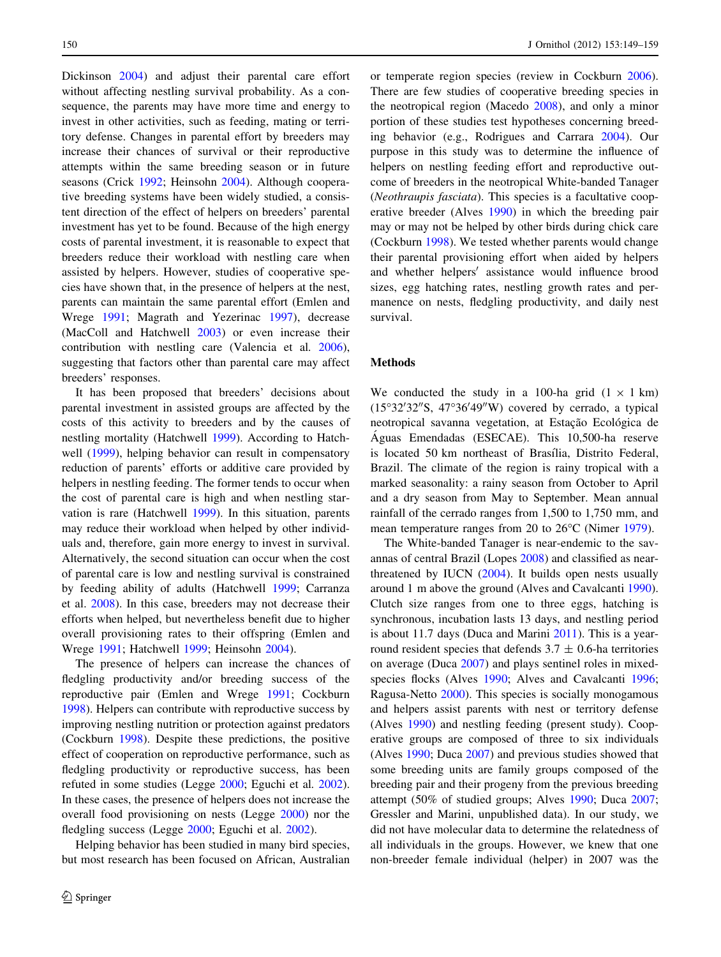Dickinson [2004\)](#page-9-0) and adjust their parental care effort without affecting nestling survival probability. As a consequence, the parents may have more time and energy to invest in other activities, such as feeding, mating or territory defense. Changes in parental effort by breeders may increase their chances of survival or their reproductive attempts within the same breeding season or in future seasons (Crick [1992;](#page-9-0) Heinsohn [2004](#page-9-0)). Although cooperative breeding systems have been widely studied, a consistent direction of the effect of helpers on breeders' parental investment has yet to be found. Because of the high energy costs of parental investment, it is reasonable to expect that breeders reduce their workload with nestling care when assisted by helpers. However, studies of cooperative species have shown that, in the presence of helpers at the nest, parents can maintain the same parental effort (Emlen and Wrege [1991](#page-9-0); Magrath and Yezerinac [1997](#page-9-0)), decrease (MacColl and Hatchwell [2003](#page-9-0)) or even increase their contribution with nestling care (Valencia et al. [2006](#page-10-0)), suggesting that factors other than parental care may affect breeders' responses.

It has been proposed that breeders' decisions about parental investment in assisted groups are affected by the costs of this activity to breeders and by the causes of nestling mortality (Hatchwell [1999](#page-9-0)). According to Hatchwell [\(1999](#page-9-0)), helping behavior can result in compensatory reduction of parents' efforts or additive care provided by helpers in nestling feeding. The former tends to occur when the cost of parental care is high and when nestling starvation is rare (Hatchwell [1999\)](#page-9-0). In this situation, parents may reduce their workload when helped by other individuals and, therefore, gain more energy to invest in survival. Alternatively, the second situation can occur when the cost of parental care is low and nestling survival is constrained by feeding ability of adults (Hatchwell [1999;](#page-9-0) Carranza et al. [2008](#page-9-0)). In this case, breeders may not decrease their efforts when helped, but nevertheless benefit due to higher overall provisioning rates to their offspring (Emlen and Wrege [1991](#page-9-0); Hatchwell [1999;](#page-9-0) Heinsohn [2004](#page-9-0)).

The presence of helpers can increase the chances of fledgling productivity and/or breeding success of the reproductive pair (Emlen and Wrege [1991](#page-9-0); Cockburn [1998\)](#page-9-0). Helpers can contribute with reproductive success by improving nestling nutrition or protection against predators (Cockburn [1998](#page-9-0)). Despite these predictions, the positive effect of cooperation on reproductive performance, such as fledgling productivity or reproductive success, has been refuted in some studies (Legge [2000](#page-9-0); Eguchi et al. [2002](#page-9-0)). In these cases, the presence of helpers does not increase the overall food provisioning on nests (Legge [2000\)](#page-9-0) nor the fledgling success (Legge [2000;](#page-9-0) Eguchi et al. [2002](#page-9-0)).

Helping behavior has been studied in many bird species, but most research has been focused on African, Australian or temperate region species (review in Cockburn [2006](#page-9-0)). There are few studies of cooperative breeding species in the neotropical region (Macedo [2008](#page-9-0)), and only a minor portion of these studies test hypotheses concerning breeding behavior (e.g., Rodrigues and Carrara [2004\)](#page-9-0). Our purpose in this study was to determine the influence of helpers on nestling feeding effort and reproductive outcome of breeders in the neotropical White-banded Tanager (Neothraupis fasciata). This species is a facultative cooperative breeder (Alves [1990](#page-9-0)) in which the breeding pair may or may not be helped by other birds during chick care (Cockburn [1998](#page-9-0)). We tested whether parents would change their parental provisioning effort when aided by helpers and whether helpers' assistance would influence brood sizes, egg hatching rates, nestling growth rates and permanence on nests, fledgling productivity, and daily nest survival.

#### Methods

We conducted the study in a 100-ha grid  $(1 \times 1 \text{ km})$  $(15°32'32''S, 47°36'49''W)$  covered by cerrado, a typical neotropical savanna vegetation, at Estação Ecológica de Águas Emendadas (ESECAE). This 10,500-ha reserve is located 50 km northeast of Brasília, Distrito Federal, Brazil. The climate of the region is rainy tropical with a marked seasonality: a rainy season from October to April and a dry season from May to September. Mean annual rainfall of the cerrado ranges from 1,500 to 1,750 mm, and mean temperature ranges from 20 to  $26^{\circ}$ C (Nimer [1979](#page-9-0)).

The White-banded Tanager is near-endemic to the savannas of central Brazil (Lopes [2008\)](#page-9-0) and classified as nearthreatened by IUCN [\(2004](#page-9-0)). It builds open nests usually around 1 m above the ground (Alves and Cavalcanti [1990](#page-9-0)). Clutch size ranges from one to three eggs, hatching is synchronous, incubation lasts 13 days, and nestling period is about 11.7 days (Duca and Marini [2011](#page-9-0)). This is a yearround resident species that defends  $3.7 \pm 0.6$ -ha territories on average (Duca [2007\)](#page-9-0) and plays sentinel roles in mixed-species flocks (Alves [1990](#page-9-0); Alves and Cavalcanti [1996](#page-9-0); Ragusa-Netto [2000](#page-9-0)). This species is socially monogamous and helpers assist parents with nest or territory defense (Alves [1990\)](#page-9-0) and nestling feeding (present study). Cooperative groups are composed of three to six individuals (Alves [1990](#page-9-0); Duca [2007\)](#page-9-0) and previous studies showed that some breeding units are family groups composed of the breeding pair and their progeny from the previous breeding attempt (50% of studied groups; Alves [1990](#page-9-0); Duca [2007](#page-9-0); Gressler and Marini, unpublished data). In our study, we did not have molecular data to determine the relatedness of all individuals in the groups. However, we knew that one non-breeder female individual (helper) in 2007 was the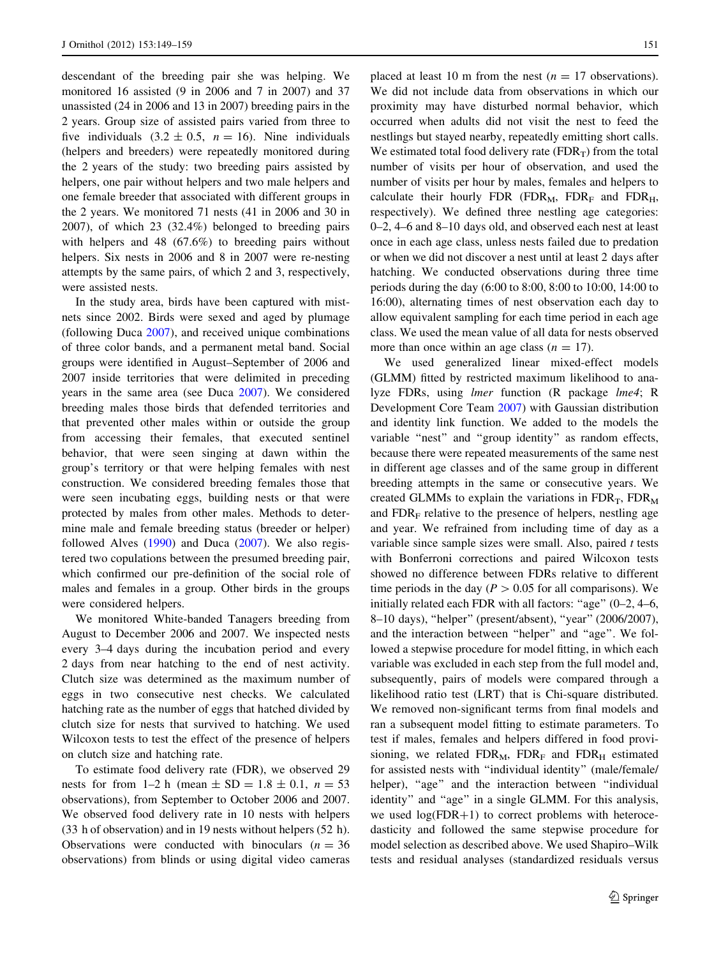descendant of the breeding pair she was helping. We monitored 16 assisted (9 in 2006 and 7 in 2007) and 37 unassisted (24 in 2006 and 13 in 2007) breeding pairs in the 2 years. Group size of assisted pairs varied from three to five individuals  $(3.2 \pm 0.5, n = 16)$ . Nine individuals (helpers and breeders) were repeatedly monitored during the 2 years of the study: two breeding pairs assisted by helpers, one pair without helpers and two male helpers and one female breeder that associated with different groups in the 2 years. We monitored 71 nests (41 in 2006 and 30 in 2007), of which 23 (32.4%) belonged to breeding pairs with helpers and 48 (67.6%) to breeding pairs without helpers. Six nests in 2006 and 8 in 2007 were re-nesting attempts by the same pairs, of which 2 and 3, respectively, were assisted nests.

In the study area, birds have been captured with mistnets since 2002. Birds were sexed and aged by plumage (following Duca [2007\)](#page-9-0), and received unique combinations of three color bands, and a permanent metal band. Social groups were identified in August–September of 2006 and 2007 inside territories that were delimited in preceding years in the same area (see Duca [2007](#page-9-0)). We considered breeding males those birds that defended territories and that prevented other males within or outside the group from accessing their females, that executed sentinel behavior, that were seen singing at dawn within the group's territory or that were helping females with nest construction. We considered breeding females those that were seen incubating eggs, building nests or that were protected by males from other males. Methods to determine male and female breeding status (breeder or helper) followed Alves  $(1990)$  $(1990)$  and Duca  $(2007)$  $(2007)$ . We also registered two copulations between the presumed breeding pair, which confirmed our pre-definition of the social role of males and females in a group. Other birds in the groups were considered helpers.

We monitored White-banded Tanagers breeding from August to December 2006 and 2007. We inspected nests every 3–4 days during the incubation period and every 2 days from near hatching to the end of nest activity. Clutch size was determined as the maximum number of eggs in two consecutive nest checks. We calculated hatching rate as the number of eggs that hatched divided by clutch size for nests that survived to hatching. We used Wilcoxon tests to test the effect of the presence of helpers on clutch size and hatching rate.

To estimate food delivery rate (FDR), we observed 29 nests for from 1–2 h (mean  $\pm$  SD = 1.8  $\pm$  0.1, n = 53 observations), from September to October 2006 and 2007. We observed food delivery rate in 10 nests with helpers (33 h of observation) and in 19 nests without helpers (52 h). Observations were conducted with binoculars  $(n = 36$ observations) from blinds or using digital video cameras placed at least 10 m from the nest ( $n = 17$  observations). We did not include data from observations in which our proximity may have disturbed normal behavior, which occurred when adults did not visit the nest to feed the nestlings but stayed nearby, repeatedly emitting short calls. We estimated total food delivery rate  $(FDR_T)$  from the total number of visits per hour of observation, and used the number of visits per hour by males, females and helpers to calculate their hourly FDR (FDR<sub>M</sub>, FDR<sub>F</sub> and FDR<sub>H</sub>, respectively). We defined three nestling age categories: 0–2, 4–6 and 8–10 days old, and observed each nest at least once in each age class, unless nests failed due to predation or when we did not discover a nest until at least 2 days after hatching. We conducted observations during three time periods during the day (6:00 to 8:00, 8:00 to 10:00, 14:00 to 16:00), alternating times of nest observation each day to allow equivalent sampling for each time period in each age class. We used the mean value of all data for nests observed more than once within an age class  $(n = 17)$ .

We used generalized linear mixed-effect models (GLMM) fitted by restricted maximum likelihood to analyze FDRs, using lmer function (R package lme4; R Development Core Team [2007](#page-9-0)) with Gaussian distribution and identity link function. We added to the models the variable "nest" and "group identity" as random effects, because there were repeated measurements of the same nest in different age classes and of the same group in different breeding attempts in the same or consecutive years. We created GLMMs to explain the variations in  $FDR_T$ ,  $FDR_M$ and  $FDR<sub>F</sub>$  relative to the presence of helpers, nestling age and year. We refrained from including time of day as a variable since sample sizes were small. Also, paired  $t$  tests with Bonferroni corrections and paired Wilcoxon tests showed no difference between FDRs relative to different time periods in the day ( $P > 0.05$  for all comparisons). We initially related each FDR with all factors: "age" (0–2, 4–6, 8–10 days), ''helper'' (present/absent), ''year'' (2006/2007), and the interaction between ''helper'' and ''age''. We followed a stepwise procedure for model fitting, in which each variable was excluded in each step from the full model and, subsequently, pairs of models were compared through a likelihood ratio test (LRT) that is Chi-square distributed. We removed non-significant terms from final models and ran a subsequent model fitting to estimate parameters. To test if males, females and helpers differed in food provisioning, we related  $FDR<sub>M</sub>$ ,  $FDR<sub>F</sub>$  and  $FDR<sub>H</sub>$  estimated for assisted nests with ''individual identity'' (male/female/ helper), "age" and the interaction between "individual identity'' and ''age'' in a single GLMM. For this analysis, we used  $log(FDR+1)$  to correct problems with heterocedasticity and followed the same stepwise procedure for model selection as described above. We used Shapiro–Wilk tests and residual analyses (standardized residuals versus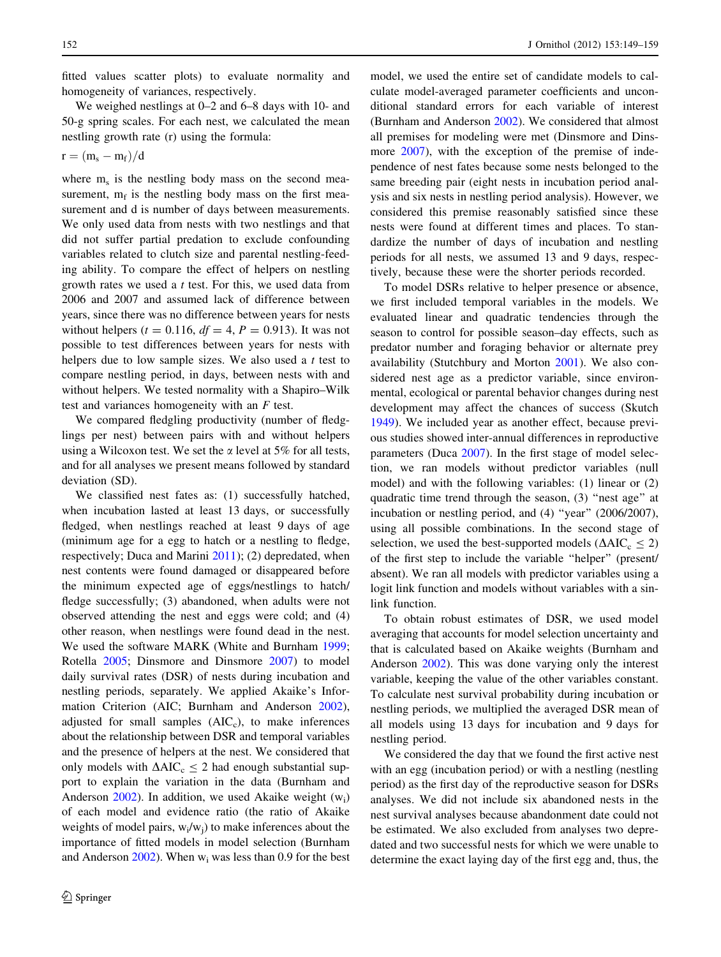fitted values scatter plots) to evaluate normality and homogeneity of variances, respectively.

We weighed nestlings at 0–2 and 6–8 days with 10- and 50-g spring scales. For each nest, we calculated the mean nestling growth rate (r) using the formula:

$$
r=(m_s-m_{\rm f})/d
$$

where  $m_s$  is the nestling body mass on the second measurement,  $m_f$  is the nestling body mass on the first measurement and d is number of days between measurements. We only used data from nests with two nestlings and that did not suffer partial predation to exclude confounding variables related to clutch size and parental nestling-feeding ability. To compare the effect of helpers on nestling growth rates we used a  $t$  test. For this, we used data from 2006 and 2007 and assumed lack of difference between years, since there was no difference between years for nests without helpers ( $t = 0.116$ ,  $df = 4$ ,  $P = 0.913$ ). It was not possible to test differences between years for nests with helpers due to low sample sizes. We also used a t test to compare nestling period, in days, between nests with and without helpers. We tested normality with a Shapiro–Wilk test and variances homogeneity with an F test.

We compared fledgling productivity (number of fledglings per nest) between pairs with and without helpers using a Wilcoxon test. We set the  $\alpha$  level at 5% for all tests, and for all analyses we present means followed by standard deviation (SD).

We classified nest fates as: (1) successfully hatched, when incubation lasted at least 13 days, or successfully fledged, when nestlings reached at least 9 days of age (minimum age for a egg to hatch or a nestling to fledge, respectively; Duca and Marini [2011](#page-9-0)); (2) depredated, when nest contents were found damaged or disappeared before the minimum expected age of eggs/nestlings to hatch/ fledge successfully; (3) abandoned, when adults were not observed attending the nest and eggs were cold; and (4) other reason, when nestlings were found dead in the nest. We used the software MARK (White and Burnham [1999](#page-10-0); Rotella [2005](#page-9-0); Dinsmore and Dinsmore [2007](#page-9-0)) to model daily survival rates (DSR) of nests during incubation and nestling periods, separately. We applied Akaike's Information Criterion (AIC; Burnham and Anderson [2002](#page-9-0)), adjusted for small samples  $(AIC<sub>c</sub>)$ , to make inferences about the relationship between DSR and temporal variables and the presence of helpers at the nest. We considered that only models with  $\Delta AIC_c \leq 2$  had enough substantial support to explain the variation in the data (Burnham and Anderson  $2002$ ). In addition, we used Akaike weight (w<sub>i</sub>) of each model and evidence ratio (the ratio of Akaike weights of model pairs,  $w_i/w_i$ ) to make inferences about the importance of fitted models in model selection (Burnham and Anderson  $2002$ ). When  $w_i$  was less than 0.9 for the best model, we used the entire set of candidate models to calculate model-averaged parameter coefficients and unconditional standard errors for each variable of interest (Burnham and Anderson [2002](#page-9-0)). We considered that almost all premises for modeling were met (Dinsmore and Dins-more [2007](#page-9-0)), with the exception of the premise of independence of nest fates because some nests belonged to the same breeding pair (eight nests in incubation period analysis and six nests in nestling period analysis). However, we considered this premise reasonably satisfied since these nests were found at different times and places. To standardize the number of days of incubation and nestling periods for all nests, we assumed 13 and 9 days, respectively, because these were the shorter periods recorded.

To model DSRs relative to helper presence or absence, we first included temporal variables in the models. We evaluated linear and quadratic tendencies through the season to control for possible season–day effects, such as predator number and foraging behavior or alternate prey availability (Stutchbury and Morton [2001\)](#page-10-0). We also considered nest age as a predictor variable, since environmental, ecological or parental behavior changes during nest development may affect the chances of success (Skutch [1949](#page-10-0)). We included year as another effect, because previous studies showed inter-annual differences in reproductive parameters (Duca [2007](#page-9-0)). In the first stage of model selection, we ran models without predictor variables (null model) and with the following variables: (1) linear or (2) quadratic time trend through the season, (3) ''nest age'' at incubation or nestling period, and (4) ''year'' (2006/2007), using all possible combinations. In the second stage of selection, we used the best-supported models ( $\Delta AIC_c \le 2$ ) of the first step to include the variable ''helper'' (present/ absent). We ran all models with predictor variables using a logit link function and models without variables with a sinlink function.

To obtain robust estimates of DSR, we used model averaging that accounts for model selection uncertainty and that is calculated based on Akaike weights (Burnham and Anderson [2002\)](#page-9-0). This was done varying only the interest variable, keeping the value of the other variables constant. To calculate nest survival probability during incubation or nestling periods, we multiplied the averaged DSR mean of all models using 13 days for incubation and 9 days for nestling period.

We considered the day that we found the first active nest with an egg (incubation period) or with a nestling (nestling period) as the first day of the reproductive season for DSRs analyses. We did not include six abandoned nests in the nest survival analyses because abandonment date could not be estimated. We also excluded from analyses two depredated and two successful nests for which we were unable to determine the exact laying day of the first egg and, thus, the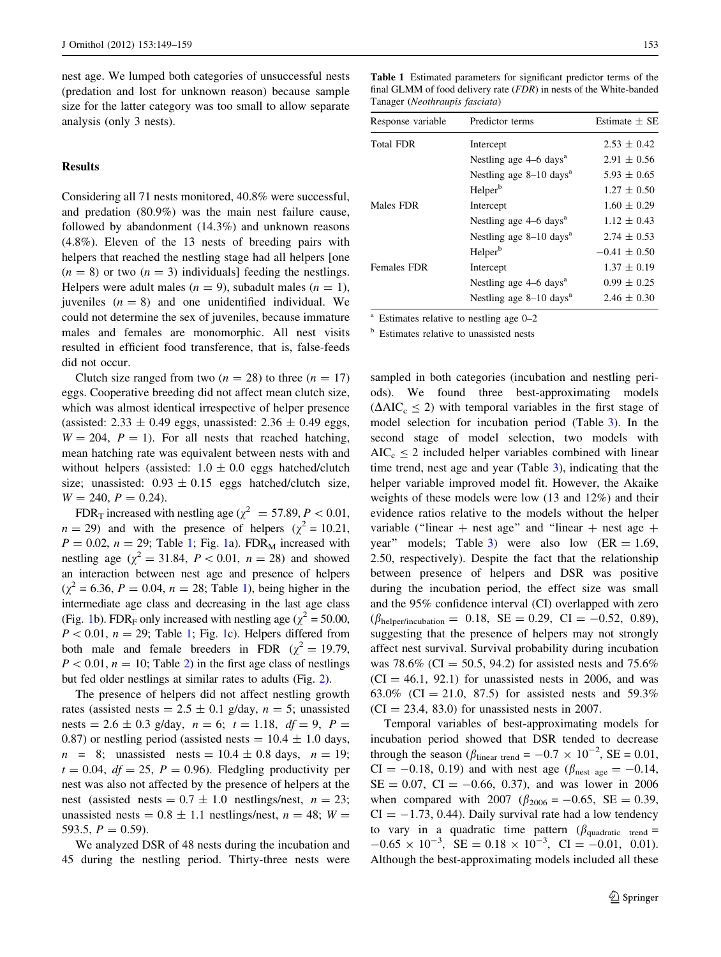nest age. We lumped both categories of unsuccessful nests (predation and lost for unknown reason) because sample size for the latter category was too small to allow separate analysis (only 3 nests).

## **Results**

Considering all 71 nests monitored, 40.8% were successful, and predation (80.9%) was the main nest failure cause, followed by abandonment (14.3%) and unknown reasons (4.8%). Eleven of the 13 nests of breeding pairs with helpers that reached the nestling stage had all helpers [one  $(n = 8)$  or two  $(n = 3)$  individuals] feeding the nestlings. Helpers were adult males ( $n = 9$ ), subadult males ( $n = 1$ ), juveniles  $(n = 8)$  and one unidentified individual. We could not determine the sex of juveniles, because immature males and females are monomorphic. All nest visits resulted in efficient food transference, that is, false-feeds did not occur.

Clutch size ranged from two  $(n = 28)$  to three  $(n = 17)$ eggs. Cooperative breeding did not affect mean clutch size, which was almost identical irrespective of helper presence (assisted:  $2.33 \pm 0.49$  eggs, unassisted:  $2.36 \pm 0.49$  eggs,  $W = 204$ ,  $P = 1$ ). For all nests that reached hatching, mean hatching rate was equivalent between nests with and without helpers (assisted:  $1.0 \pm 0.0$  eggs hatched/clutch size; unassisted:  $0.93 \pm 0.15$  eggs hatched/clutch size,  $W = 240, P = 0.24$ .

FDR<sub>T</sub> increased with nestling age ( $\chi^2$  = 57.89, P < 0.01,  $n = 29$ ) and with the presence of helpers ( $\chi^2 = 10.21$ ,  $P = 0.02$ ,  $n = 29$ ; Table [1](#page-5-0); Fig. 1a). FDR<sub>M</sub> increased with nestling age ( $\chi^2 = 31.84$ ,  $P < 0.01$ ,  $n = 28$ ) and showed an interaction between nest age and presence of helpers  $(\chi^2 = 6.36, P = 0.04, n = 28;$  Table 1), being higher in the intermediate age class and decreasing in the last age class (Fig. [1b](#page-5-0)). FDR<sub>F</sub> only increased with nestling age ( $\chi^2$  = 50.00,  $P < 0.01$  $P < 0.01$ ,  $n = 29$ ; Table 1; Fig. 1c). Helpers differed from both male and female breeders in FDR ( $\chi^2 = 19.79$ ,  $P < 0.01$ ,  $n = 10$ ; Table [2\)](#page-5-0) in the first age class of nestlings but fed older nestlings at similar rates to adults (Fig. [2\)](#page-5-0).

The presence of helpers did not affect nestling growth rates (assisted nests =  $2.5 \pm 0.1$  g/day,  $n = 5$ ; unassisted nests = 2.6  $\pm$  0.3 g/day,  $n = 6$ ;  $t = 1.18$ ,  $df = 9$ ,  $P =$ 0.87) or nestling period (assisted nests  $= 10.4 \pm 1.0$  days,  $n = 8$ ; unassisted nests = 10.4  $\pm$  0.8 days,  $n = 19$ ;  $t = 0.04$ ,  $df = 25$ ,  $P = 0.96$ ). Fledgling productivity per nest was also not affected by the presence of helpers at the nest (assisted nests =  $0.7 \pm 1.0$  nestlings/nest,  $n = 23$ ; unassisted nests =  $0.8 \pm 1.1$  nestlings/nest,  $n = 48$ ;  $W =$ 593.5,  $P = 0.59$ .

We analyzed DSR of 48 nests during the incubation and 45 during the nestling period. Thirty-three nests were

Table 1 Estimated parameters for significant predictor terms of the final GLMM of food delivery rate (FDR) in nests of the White-banded Tanager (Neothraupis fasciata)

| Response variable  | Predictor terms                       | Estimate $\pm$ SE |
|--------------------|---------------------------------------|-------------------|
| <b>Total FDR</b>   | Intercept                             | $2.53 \pm 0.42$   |
|                    | Nestling age $4-6$ days <sup>a</sup>  | $2.91 \pm 0.56$   |
|                    | Nestling age 8-10 days <sup>a</sup>   | $5.93 \pm 0.65$   |
|                    | Helper <sup>b</sup>                   | $1.27 \pm 0.50$   |
| Males FDR          | Intercept                             | $1.60 \pm 0.29$   |
|                    | Nestling age $4-6$ days <sup>a</sup>  | $1.12 \pm 0.43$   |
|                    | Nestling age $8-10$ days <sup>a</sup> | $2.74 \pm 0.53$   |
|                    | Helper <sup>b</sup>                   | $-0.41 \pm 0.50$  |
| <b>Females FDR</b> | Intercept                             | $1.37 \pm 0.19$   |
|                    | Nestling age $4-6$ days <sup>a</sup>  | $0.99 \pm 0.25$   |
|                    | Nestling age 8-10 days <sup>a</sup>   | $2.46 \pm 0.30$   |

Estimates relative to nestling age  $0-2$ 

<sup>b</sup> Estimates relative to unassisted nests

sampled in both categories (incubation and nestling periods). We found three best-approximating models  $(\Delta AIC_c \leq 2)$  with temporal variables in the first stage of model selection for incubation period (Table [3](#page-6-0)). In the second stage of model selection, two models with  $AIC_c \le 2$  included helper variables combined with linear time trend, nest age and year (Table [3\)](#page-6-0), indicating that the helper variable improved model fit. However, the Akaike weights of these models were low (13 and 12%) and their evidence ratios relative to the models without the helper variable ("linear  $+$  nest age" and "linear  $+$  nest age  $+$ year" models; Table [3\)](#page-6-0) were also low  $(ER = 1.69,$ 2.50, respectively). Despite the fact that the relationship between presence of helpers and DSR was positive during the incubation period, the effect size was small and the 95% confidence interval (CI) overlapped with zero  $(\beta_{\text{helper/incubation}} = 0.18, \text{ SE} = 0.29, \text{ CI} = -0.52, 0.89),$ suggesting that the presence of helpers may not strongly affect nest survival. Survival probability during incubation was 78.6% (CI = 50.5, 94.2) for assisted nests and 75.6%  $(CI = 46.1, 92.1)$  for unassisted nests in 2006, and was 63.0% (CI = 21.0, 87.5) for assisted nests and 59.3%  $(CI = 23.4, 83.0)$  for unassisted nests in 2007.

Temporal variables of best-approximating models for incubation period showed that DSR tended to decrease through the season ( $\beta_{\text{linear trend}} = -0.7 \times 10^{-2}$ , SE = 0.01, CI = -0.18, 0.19) and with nest age ( $\beta_{\text{nest age}} = -0.14$ ,  $SE = 0.07$ ,  $CI = -0.66$ , 0.37), and was lower in 2006 when compared with 2007 ( $\beta_{2006} = -0.65$ , SE = 0.39,  $CI = -1.73, 0.44$ ). Daily survival rate had a low tendency to vary in a quadratic time pattern ( $\beta_{\text{quadratic trend}} =$  $-0.65 \times 10^{-3}$ ,  $SE = 0.18 \times 10^{-3}$ ,  $CI = -0.01$ , 0.01). Although the best-approximating models included all these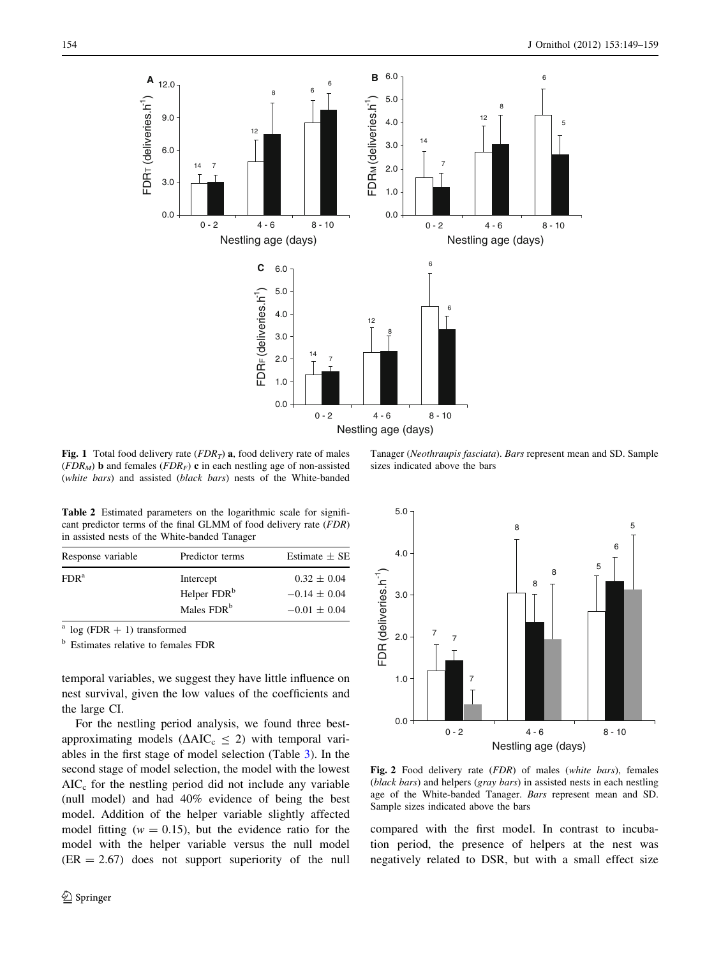<span id="page-5-0"></span>

Fig. 1 Total food delivery rate  $(FDR_T)$  a, food delivery rate of males  $(FDR<sub>M</sub>)$  b and females  $(FDR<sub>F</sub>)$  c in each nestling age of non-assisted (white bars) and assisted (black bars) nests of the White-banded

Tanager (Neothraupis fasciata). Bars represent mean and SD. Sample sizes indicated above the bars

Table 2 Estimated parameters on the logarithmic scale for significant predictor terms of the final GLMM of food delivery rate (FDR) in assisted nests of the White-banded Tanager

| Response variable | Predictor terms         | Estimate $\pm$ SE |
|-------------------|-------------------------|-------------------|
| FDR <sup>a</sup>  | Intercept               | $0.32 \pm 0.04$   |
|                   | Helper FDR <sup>b</sup> | $-0.14 \pm 0.04$  |
|                   | Males FDR <sup>b</sup>  | $-0.01 \pm 0.04$  |

<sup>a</sup> log (FDR  $+1$ ) transformed

<sup>b</sup> Estimates relative to females FDR

temporal variables, we suggest they have little influence on nest survival, given the low values of the coefficients and the large CI.

For the nestling period analysis, we found three bestapproximating models ( $\Delta AIC_c \le 2$ ) with temporal variables in the first stage of model selection (Table [3](#page-6-0)). In the second stage of model selection, the model with the lowest  $AIC<sub>c</sub>$  for the nestling period did not include any variable (null model) and had 40% evidence of being the best model. Addition of the helper variable slightly affected model fitting ( $w = 0.15$ ), but the evidence ratio for the model with the helper variable versus the null model  $(ER = 2.67)$  does not support superiority of the null



Fig. 2 Food delivery rate (FDR) of males (white bars), females (black bars) and helpers (gray bars) in assisted nests in each nestling age of the White-banded Tanager. Bars represent mean and SD. Sample sizes indicated above the bars

compared with the first model. In contrast to incubation period, the presence of helpers at the nest was negatively related to DSR, but with a small effect size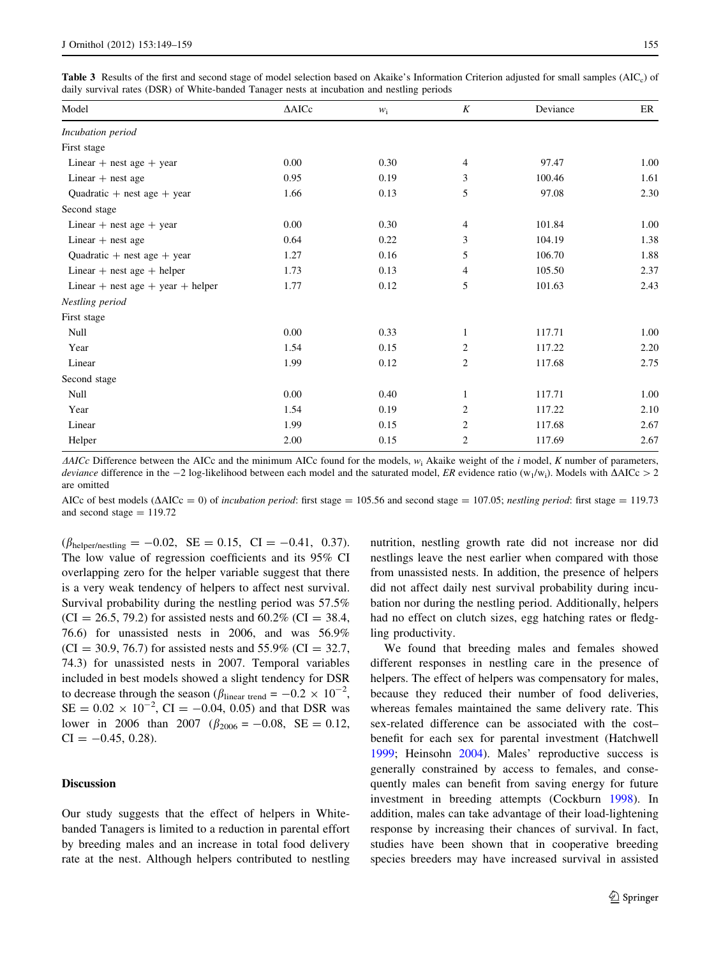<span id="page-6-0"></span>Table 3 Results of the first and second stage of model selection based on Akaike's Information Criterion adjusted for small samples (AIC<sub>c</sub>) of daily survival rates (DSR) of White-banded Tanager nests at incubation and nestling periods

| Model                             | $\triangle$ AICc | $W_i$ | K              | Deviance | ER   |
|-----------------------------------|------------------|-------|----------------|----------|------|
| Incubation period                 |                  |       |                |          |      |
| First stage                       |                  |       |                |          |      |
| Linear $+$ nest age $+$ year      | 0.00             | 0.30  | 4              | 97.47    | 1.00 |
| Linear $+$ nest age               | 0.95             | 0.19  | 3              | 100.46   | 1.61 |
| Quadratic $+$ nest age $+$ year   | 1.66             | 0.13  | 5              | 97.08    | 2.30 |
| Second stage                      |                  |       |                |          |      |
| Linear $+$ nest age $+$ year      | 0.00             | 0.30  | 4              | 101.84   | 1.00 |
| Linear $+$ nest age               | 0.64             | 0.22  | 3              | 104.19   | 1.38 |
| Quadratic $+$ nest age $+$ year   | 1.27             | 0.16  | 5              | 106.70   | 1.88 |
| Linear $+$ nest age $+$ helper    | 1.73             | 0.13  | 4              | 105.50   | 2.37 |
| Linear + nest age + year + helper | 1.77             | 0.12  | 5              | 101.63   | 2.43 |
| Nestling period                   |                  |       |                |          |      |
| First stage                       |                  |       |                |          |      |
| Null                              | 0.00             | 0.33  | $\mathbf{1}$   | 117.71   | 1.00 |
| Year                              | 1.54             | 0.15  | $\overline{c}$ | 117.22   | 2.20 |
| Linear                            | 1.99             | 0.12  | $\overline{c}$ | 117.68   | 2.75 |
| Second stage                      |                  |       |                |          |      |
| Null                              | $0.00\,$         | 0.40  | 1              | 117.71   | 1.00 |
| Year                              | 1.54             | 0.19  | $\overline{c}$ | 117.22   | 2.10 |
| Linear                            | 1.99             | 0.15  | 2              | 117.68   | 2.67 |
| Helper                            | 2.00             | 0.15  | $\overline{2}$ | 117.69   | 2.67 |

 $\Delta AICc$  Difference between the AICc and the minimum AICc found for the models,  $w_i$  Akaike weight of the *i* model, K number of parameters, deviance difference in the  $-2$  log-likelihood between each model and the saturated model, ER evidence ratio (w<sub>1</sub>/w<sub>i</sub>). Models with  $\Delta AICc > 2$ are omitted

AICc of best models ( $\triangle$ AICc = 0) of incubation period: first stage = 105.56 and second stage = 107.05; nestling period: first stage = 119.73 and second stage  $= 119.72$ 

 $(\beta_{\text{helper/nestling}} = -0.02, \text{ SE} = 0.15, \text{ CI} = -0.41, 0.37).$ The low value of regression coefficients and its 95% CI overlapping zero for the helper variable suggest that there is a very weak tendency of helpers to affect nest survival. Survival probability during the nestling period was 57.5%  $(CI = 26.5, 79.2)$  for assisted nests and 60.2%  $(CI = 38.4, 10.2)$ 76.6) for unassisted nests in 2006, and was 56.9%  $(CI = 30.9, 76.7)$  for assisted nests and 55.9%  $(CI = 32.7,$ 74.3) for unassisted nests in 2007. Temporal variables included in best models showed a slight tendency for DSR to decrease through the season ( $\beta_{\text{linear trend}} = -0.2 \times 10^{-2}$ ,  $SE = 0.02 \times 10^{-2}$ ,  $CI = -0.04, 0.05$ ) and that DSR was lower in 2006 than 2007 ( $\beta_{2006} = -0.08$ , SE = 0.12,  $CI = -0.45, 0.28$ .

## **Discussion**

Our study suggests that the effect of helpers in Whitebanded Tanagers is limited to a reduction in parental effort by breeding males and an increase in total food delivery rate at the nest. Although helpers contributed to nestling nutrition, nestling growth rate did not increase nor did nestlings leave the nest earlier when compared with those from unassisted nests. In addition, the presence of helpers did not affect daily nest survival probability during incubation nor during the nestling period. Additionally, helpers had no effect on clutch sizes, egg hatching rates or fledgling productivity.

We found that breeding males and females showed different responses in nestling care in the presence of helpers. The effect of helpers was compensatory for males, because they reduced their number of food deliveries, whereas females maintained the same delivery rate. This sex-related difference can be associated with the cost– benefit for each sex for parental investment (Hatchwell [1999](#page-9-0); Heinsohn [2004](#page-9-0)). Males' reproductive success is generally constrained by access to females, and consequently males can benefit from saving energy for future investment in breeding attempts (Cockburn [1998](#page-9-0)). In addition, males can take advantage of their load-lightening response by increasing their chances of survival. In fact, studies have been shown that in cooperative breeding species breeders may have increased survival in assisted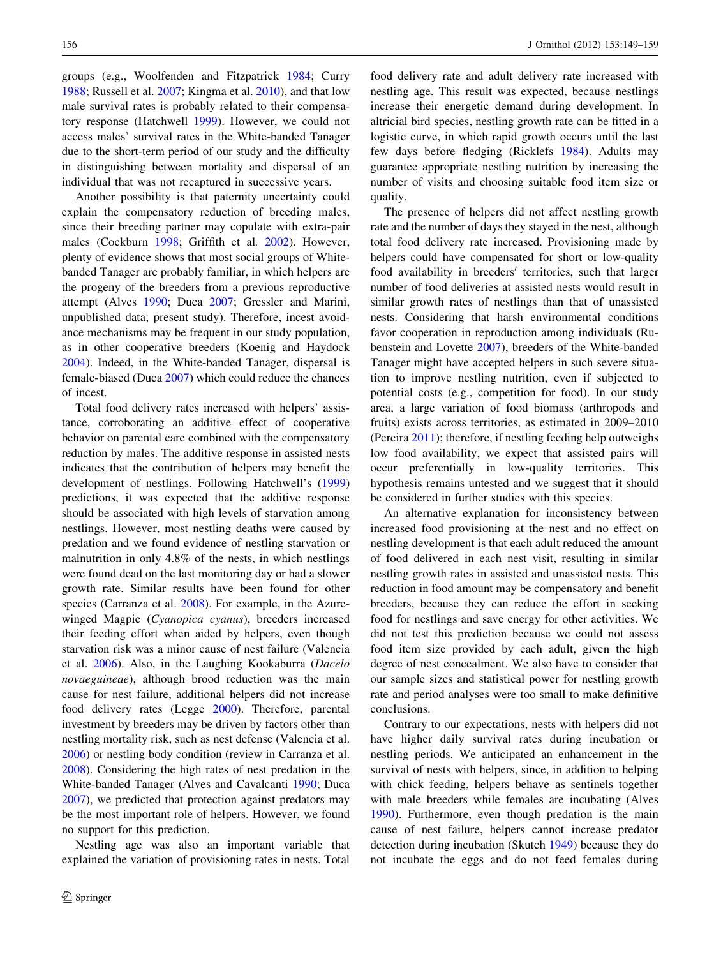groups (e.g., Woolfenden and Fitzpatrick [1984;](#page-10-0) Curry [1988;](#page-9-0) Russell et al. [2007;](#page-10-0) Kingma et al. [2010\)](#page-9-0), and that low male survival rates is probably related to their compensatory response (Hatchwell [1999\)](#page-9-0). However, we could not access males' survival rates in the White-banded Tanager due to the short-term period of our study and the difficulty in distinguishing between mortality and dispersal of an individual that was not recaptured in successive years.

Another possibility is that paternity uncertainty could explain the compensatory reduction of breeding males, since their breeding partner may copulate with extra-pair males (Cockburn [1998;](#page-9-0) Griffith et al. [2002\)](#page-9-0). However, plenty of evidence shows that most social groups of Whitebanded Tanager are probably familiar, in which helpers are the progeny of the breeders from a previous reproductive attempt (Alves [1990](#page-9-0); Duca [2007;](#page-9-0) Gressler and Marini, unpublished data; present study). Therefore, incest avoidance mechanisms may be frequent in our study population, as in other cooperative breeders (Koenig and Haydock [2004\)](#page-9-0). Indeed, in the White-banded Tanager, dispersal is female-biased (Duca [2007](#page-9-0)) which could reduce the chances of incest.

Total food delivery rates increased with helpers' assistance, corroborating an additive effect of cooperative behavior on parental care combined with the compensatory reduction by males. The additive response in assisted nests indicates that the contribution of helpers may benefit the development of nestlings. Following Hatchwell's ([1999\)](#page-9-0) predictions, it was expected that the additive response should be associated with high levels of starvation among nestlings. However, most nestling deaths were caused by predation and we found evidence of nestling starvation or malnutrition in only 4.8% of the nests, in which nestlings were found dead on the last monitoring day or had a slower growth rate. Similar results have been found for other species (Carranza et al. [2008](#page-9-0)). For example, in the Azurewinged Magpie (Cyanopica cyanus), breeders increased their feeding effort when aided by helpers, even though starvation risk was a minor cause of nest failure (Valencia et al. [2006\)](#page-10-0). Also, in the Laughing Kookaburra (Dacelo novaeguineae), although brood reduction was the main cause for nest failure, additional helpers did not increase food delivery rates (Legge [2000\)](#page-9-0). Therefore, parental investment by breeders may be driven by factors other than nestling mortality risk, such as nest defense (Valencia et al. [2006\)](#page-10-0) or nestling body condition (review in Carranza et al. [2008\)](#page-9-0). Considering the high rates of nest predation in the White-banded Tanager (Alves and Cavalcanti [1990;](#page-9-0) Duca [2007\)](#page-9-0), we predicted that protection against predators may be the most important role of helpers. However, we found no support for this prediction.

Nestling age was also an important variable that explained the variation of provisioning rates in nests. Total

food delivery rate and adult delivery rate increased with nestling age. This result was expected, because nestlings increase their energetic demand during development. In altricial bird species, nestling growth rate can be fitted in a logistic curve, in which rapid growth occurs until the last few days before fledging (Ricklefs [1984](#page-9-0)). Adults may guarantee appropriate nestling nutrition by increasing the number of visits and choosing suitable food item size or quality.

The presence of helpers did not affect nestling growth rate and the number of days they stayed in the nest, although total food delivery rate increased. Provisioning made by helpers could have compensated for short or low-quality food availability in breeders' territories, such that larger number of food deliveries at assisted nests would result in similar growth rates of nestlings than that of unassisted nests. Considering that harsh environmental conditions favor cooperation in reproduction among individuals (Rubenstein and Lovette [2007](#page-10-0)), breeders of the White-banded Tanager might have accepted helpers in such severe situation to improve nestling nutrition, even if subjected to potential costs (e.g., competition for food). In our study area, a large variation of food biomass (arthropods and fruits) exists across territories, as estimated in 2009–2010 (Pereira [2011\)](#page-9-0); therefore, if nestling feeding help outweighs low food availability, we expect that assisted pairs will occur preferentially in low-quality territories. This hypothesis remains untested and we suggest that it should be considered in further studies with this species.

An alternative explanation for inconsistency between increased food provisioning at the nest and no effect on nestling development is that each adult reduced the amount of food delivered in each nest visit, resulting in similar nestling growth rates in assisted and unassisted nests. This reduction in food amount may be compensatory and benefit breeders, because they can reduce the effort in seeking food for nestlings and save energy for other activities. We did not test this prediction because we could not assess food item size provided by each adult, given the high degree of nest concealment. We also have to consider that our sample sizes and statistical power for nestling growth rate and period analyses were too small to make definitive conclusions.

Contrary to our expectations, nests with helpers did not have higher daily survival rates during incubation or nestling periods. We anticipated an enhancement in the survival of nests with helpers, since, in addition to helping with chick feeding, helpers behave as sentinels together with male breeders while females are incubating (Alves [1990](#page-9-0)). Furthermore, even though predation is the main cause of nest failure, helpers cannot increase predator detection during incubation (Skutch [1949\)](#page-10-0) because they do not incubate the eggs and do not feed females during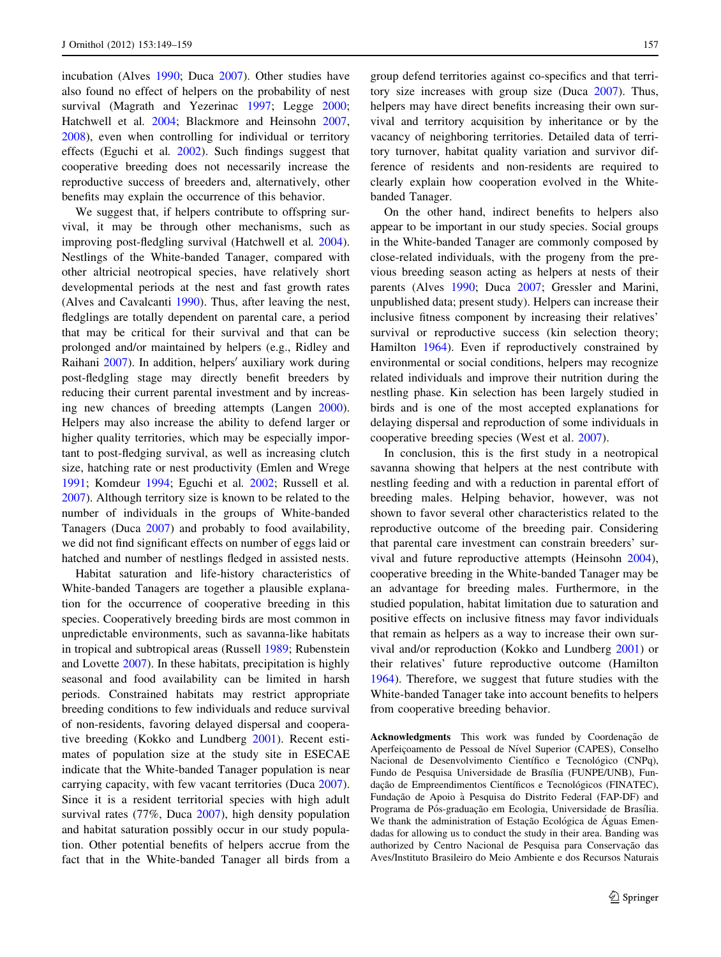incubation (Alves [1990;](#page-9-0) Duca [2007\)](#page-9-0). Other studies have also found no effect of helpers on the probability of nest survival (Magrath and Yezerinac [1997](#page-9-0); Legge [2000](#page-9-0); Hatchwell et al. [2004](#page-9-0); Blackmore and Heinsohn [2007,](#page-9-0) [2008\)](#page-9-0), even when controlling for individual or territory effects (Eguchi et al. [2002](#page-9-0)). Such findings suggest that cooperative breeding does not necessarily increase the reproductive success of breeders and, alternatively, other benefits may explain the occurrence of this behavior.

We suggest that, if helpers contribute to offspring survival, it may be through other mechanisms, such as improving post-fledgling survival (Hatchwell et al. [2004](#page-9-0)). Nestlings of the White-banded Tanager, compared with other altricial neotropical species, have relatively short developmental periods at the nest and fast growth rates (Alves and Cavalcanti [1990](#page-9-0)). Thus, after leaving the nest, fledglings are totally dependent on parental care, a period that may be critical for their survival and that can be prolonged and/or maintained by helpers (e.g., Ridley and Raihani [2007\)](#page-9-0). In addition, helpers' auxiliary work during post-fledgling stage may directly benefit breeders by reducing their current parental investment and by increasing new chances of breeding attempts (Langen [2000](#page-9-0)). Helpers may also increase the ability to defend larger or higher quality territories, which may be especially important to post-fledging survival, as well as increasing clutch size, hatching rate or nest productivity (Emlen and Wrege [1991;](#page-9-0) Komdeur [1994](#page-9-0); Eguchi et al. [2002](#page-9-0); Russell et al. [2007\)](#page-10-0). Although territory size is known to be related to the number of individuals in the groups of White-banded Tanagers (Duca [2007\)](#page-9-0) and probably to food availability, we did not find significant effects on number of eggs laid or hatched and number of nestlings fledged in assisted nests.

Habitat saturation and life-history characteristics of White-banded Tanagers are together a plausible explanation for the occurrence of cooperative breeding in this species. Cooperatively breeding birds are most common in unpredictable environments, such as savanna-like habitats in tropical and subtropical areas (Russell [1989;](#page-10-0) Rubenstein and Lovette [2007](#page-10-0)). In these habitats, precipitation is highly seasonal and food availability can be limited in harsh periods. Constrained habitats may restrict appropriate breeding conditions to few individuals and reduce survival of non-residents, favoring delayed dispersal and cooperative breeding (Kokko and Lundberg [2001\)](#page-9-0). Recent estimates of population size at the study site in ESECAE indicate that the White-banded Tanager population is near carrying capacity, with few vacant territories (Duca [2007](#page-9-0)). Since it is a resident territorial species with high adult survival rates (77%, Duca [2007](#page-9-0)), high density population and habitat saturation possibly occur in our study population. Other potential benefits of helpers accrue from the fact that in the White-banded Tanager all birds from a group defend territories against co-specifics and that territory size increases with group size (Duca [2007\)](#page-9-0). Thus, helpers may have direct benefits increasing their own survival and territory acquisition by inheritance or by the vacancy of neighboring territories. Detailed data of territory turnover, habitat quality variation and survivor difference of residents and non-residents are required to clearly explain how cooperation evolved in the Whitebanded Tanager.

On the other hand, indirect benefits to helpers also appear to be important in our study species. Social groups in the White-banded Tanager are commonly composed by close-related individuals, with the progeny from the previous breeding season acting as helpers at nests of their parents (Alves [1990;](#page-9-0) Duca [2007](#page-9-0); Gressler and Marini, unpublished data; present study). Helpers can increase their inclusive fitness component by increasing their relatives' survival or reproductive success (kin selection theory; Hamilton [1964](#page-9-0)). Even if reproductively constrained by environmental or social conditions, helpers may recognize related individuals and improve their nutrition during the nestling phase. Kin selection has been largely studied in birds and is one of the most accepted explanations for delaying dispersal and reproduction of some individuals in cooperative breeding species (West et al. [2007\)](#page-10-0).

In conclusion, this is the first study in a neotropical savanna showing that helpers at the nest contribute with nestling feeding and with a reduction in parental effort of breeding males. Helping behavior, however, was not shown to favor several other characteristics related to the reproductive outcome of the breeding pair. Considering that parental care investment can constrain breeders' survival and future reproductive attempts (Heinsohn [2004](#page-9-0)), cooperative breeding in the White-banded Tanager may be an advantage for breeding males. Furthermore, in the studied population, habitat limitation due to saturation and positive effects on inclusive fitness may favor individuals that remain as helpers as a way to increase their own survival and/or reproduction (Kokko and Lundberg [2001\)](#page-9-0) or their relatives' future reproductive outcome (Hamilton [1964](#page-9-0)). Therefore, we suggest that future studies with the White-banded Tanager take into account benefits to helpers from cooperative breeding behavior.

Acknowledgments This work was funded by Coordenação de Aperfeicoamento de Pessoal de Nível Superior (CAPES), Conselho Nacional de Desenvolvimento Científico e Tecnológico (CNPq), Fundo de Pesquisa Universidade de Brasília (FUNPE/UNB), Fundação de Empreendimentos Científicos e Tecnológicos (FINATEC), Fundação de Apoio à Pesquisa do Distrito Federal (FAP-DF) and Programa de Pós-graduação em Ecologia, Universidade de Brasília. We thank the administration of Estação Ecológica de Aguas Emendadas for allowing us to conduct the study in their area. Banding was authorized by Centro Nacional de Pesquisa para Conservação das Aves/Instituto Brasileiro do Meio Ambiente e dos Recursos Naturais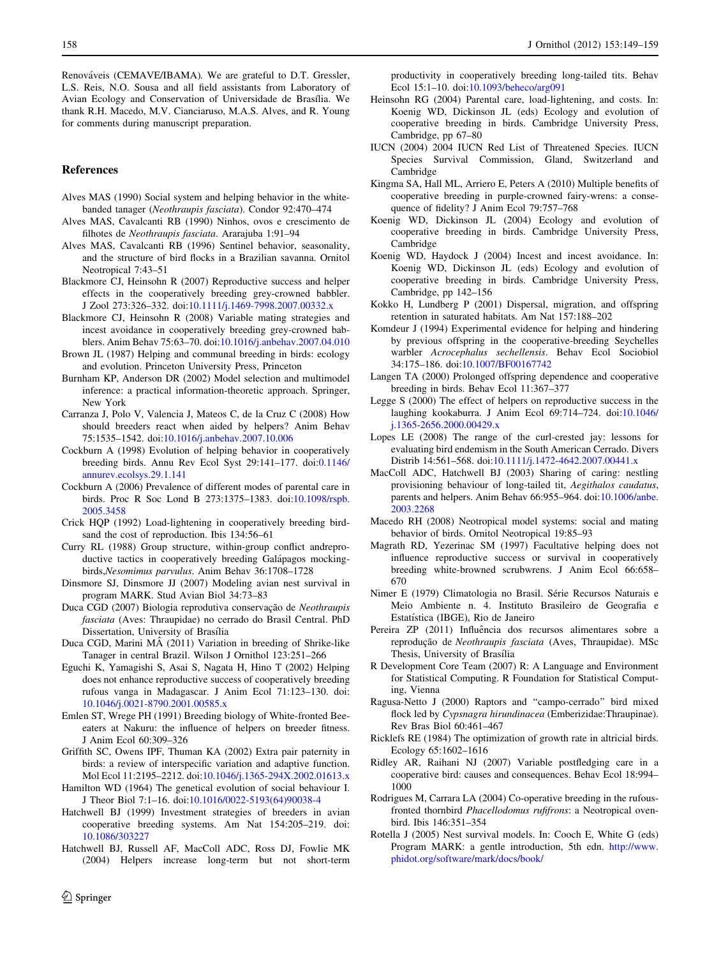<span id="page-9-0"></span>Renováveis (CEMAVE/IBAMA). We are grateful to D.T. Gressler, L.S. Reis, N.O. Sousa and all field assistants from Laboratory of Avian Ecology and Conservation of Universidade de Brasília. We thank R.H. Macedo, M.V. Cianciaruso, M.A.S. Alves, and R. Young for comments during manuscript preparation.

## References

- Alves MAS (1990) Social system and helping behavior in the whitebanded tanager (Neothraupis fasciata). Condor 92:470–474
- Alves MAS, Cavalcanti RB (1990) Ninhos, ovos e crescimento de filhotes de Neothraupis fasciata. Ararajuba 1:91–94
- Alves MAS, Cavalcanti RB (1996) Sentinel behavior, seasonality, and the structure of bird flocks in a Brazilian savanna. Ornitol Neotropical 7:43–51
- Blackmore CJ, Heinsohn R (2007) Reproductive success and helper effects in the cooperatively breeding grey-crowned babbler. J Zool 273:326–332. doi:[10.1111/j.1469-7998.2007.00332.x](http://dx.doi.org/10.1111/j.1469-7998.2007.00332.x)
- Blackmore CJ, Heinsohn R (2008) Variable mating strategies and incest avoidance in cooperatively breeding grey-crowned babblers. Anim Behav 75:63–70. doi:[10.1016/j.anbehav.2007.04.010](http://dx.doi.org/10.1016/j.anbehav.2007.04.010)
- Brown JL (1987) Helping and communal breeding in birds: ecology and evolution. Princeton University Press, Princeton
- Burnham KP, Anderson DR (2002) Model selection and multimodel inference: a practical information-theoretic approach. Springer, New York
- Carranza J, Polo V, Valencia J, Mateos C, de la Cruz C (2008) How should breeders react when aided by helpers? Anim Behav 75:1535–1542. doi[:10.1016/j.anbehav.2007.10.006](http://dx.doi.org/10.1016/j.anbehav.2007.10.006)
- Cockburn A (1998) Evolution of helping behavior in cooperatively breeding birds. Annu Rev Ecol Syst 29:141–177. doi[:0.1146/](http://dx.doi.org/0.1146/annurev.ecolsys.29.1.141) [annurev.ecolsys.29.1.141](http://dx.doi.org/0.1146/annurev.ecolsys.29.1.141)
- Cockburn A (2006) Prevalence of different modes of parental care in birds. Proc R Soc Lond B 273:1375–1383. doi:[10.1098/rspb.](http://dx.doi.org/10.1098/rspb.2005.3458) [2005.3458](http://dx.doi.org/10.1098/rspb.2005.3458)
- Crick HQP (1992) Load-lightening in cooperatively breeding birdsand the cost of reproduction. Ibis 134:56–61
- Curry RL (1988) Group structure, within-group conflict andreproductive tactics in cooperatively breeding Galápagos mockingbirds,Nesomimus parvulus. Anim Behav 36:1708–1728
- Dinsmore SJ, Dinsmore JJ (2007) Modeling avian nest survival in program MARK. Stud Avian Biol 34:73–83
- Duca CGD (2007) Biologia reprodutiva conservação de Neothraupis fasciata (Aves: Thraupidae) no cerrado do Brasil Central. PhD Dissertation, University of Brasília
- Duca CGD, Marini MAˆ (2011) Variation in breeding of Shrike-like Tanager in central Brazil. Wilson J Ornithol 123:251–266
- Eguchi K, Yamagishi S, Asai S, Nagata H, Hino T (2002) Helping does not enhance reproductive success of cooperatively breeding rufous vanga in Madagascar. J Anim Ecol 71:123–130. doi: [10.1046/j.0021-8790.2001.00585.x](http://dx.doi.org/10.1046/j.0021-8790.2001.00585.x)
- Emlen ST, Wrege PH (1991) Breeding biology of White-fronted Beeeaters at Nakuru: the influence of helpers on breeder fitness. J Anim Ecol 60:309–326
- Griffith SC, Owens IPF, Thuman KA (2002) Extra pair paternity in birds: a review of interspecific variation and adaptive function. Mol Ecol 11:2195–2212. doi[:10.1046/j.1365-294X.2002.01613.x](http://dx.doi.org/10.1046/j.1365-294X.2002.01613.x)
- Hamilton WD (1964) The genetical evolution of social behaviour I. J Theor Biol 7:1–16. doi[:10.1016/0022-5193\(64\)90038-4](http://dx.doi.org/10.1016/0022-5193(64)90038-4)
- Hatchwell BJ (1999) Investment strategies of breeders in avian cooperative breeding systems. Am Nat 154:205–219. doi: [10.1086/303227](http://dx.doi.org/10.1086/303227)
- Hatchwell BJ, Russell AF, MacColl ADC, Ross DJ, Fowlie MK (2004) Helpers increase long-term but not short-term

productivity in cooperatively breeding long-tailed tits. Behav Ecol 15:1–10. doi:[10.1093/beheco/arg091](http://dx.doi.org/10.1093/beheco/arg091)

- Heinsohn RG (2004) Parental care, load-lightening, and costs. In: Koenig WD, Dickinson JL (eds) Ecology and evolution of cooperative breeding in birds. Cambridge University Press, Cambridge, pp 67–80
- IUCN (2004) 2004 IUCN Red List of Threatened Species. IUCN Species Survival Commission, Gland, Switzerland and Cambridge
- Kingma SA, Hall ML, Arriero E, Peters A (2010) Multiple benefits of cooperative breeding in purple-crowned fairy-wrens: a consequence of fidelity? J Anim Ecol 79:757–768
- Koenig WD, Dickinson JL (2004) Ecology and evolution of cooperative breeding in birds. Cambridge University Press, Cambridge
- Koenig WD, Haydock J (2004) Incest and incest avoidance. In: Koenig WD, Dickinson JL (eds) Ecology and evolution of cooperative breeding in birds. Cambridge University Press, Cambridge, pp 142–156
- Kokko H, Lundberg P (2001) Dispersal, migration, and offspring retention in saturated habitats. Am Nat 157:188–202
- Komdeur J (1994) Experimental evidence for helping and hindering by previous offspring in the cooperative-breeding Seychelles warbler Acrocephalus sechellensis. Behav Ecol Sociobiol 34:175–186. doi:[10.1007/BF00167742](http://dx.doi.org/10.1007/BF00167742)
- Langen TA (2000) Prolonged offspring dependence and cooperative breeding in birds. Behav Ecol 11:367–377
- Legge S (2000) The effect of helpers on reproductive success in the laughing kookaburra. J Anim Ecol 69:714–724. doi[:10.1046/](http://dx.doi.org/10.1046/j.1365-2656.2000.00429.x) [j.1365-2656.2000.00429.x](http://dx.doi.org/10.1046/j.1365-2656.2000.00429.x)
- Lopes LE (2008) The range of the curl-crested jay: lessons for evaluating bird endemism in the South American Cerrado. Divers Distrib 14:561–568. doi:[10.1111/j.1472-4642.2007.00441.x](http://dx.doi.org/10.1111/j.1472-4642.2007.00441.x)
- MacColl ADC, Hatchwell BJ (2003) Sharing of caring: nestling provisioning behaviour of long-tailed tit, Aegithalos caudatus, parents and helpers. Anim Behav 66:955–964. doi[:10.1006/anbe.](http://dx.doi.org/10.1006/anbe.2003.2268) [2003.2268](http://dx.doi.org/10.1006/anbe.2003.2268)
- Macedo RH (2008) Neotropical model systems: social and mating behavior of birds. Ornitol Neotropical 19:85–93
- Magrath RD, Yezerinac SM (1997) Facultative helping does not influence reproductive success or survival in cooperatively breeding white-browned scrubwrens. J Anim Ecol 66:658– 670
- Nimer E (1979) Climatologia no Brasil. Série Recursos Naturais e Meio Ambiente n. 4. Instituto Brasileiro de Geografia e Estatística (IBGE), Rio de Janeiro
- Pereira ZP (2011) Influência dos recursos alimentares sobre a reprodução de Neothraupis fasciata (Aves, Thraupidae). MSc Thesis, University of Brasília
- R Development Core Team (2007) R: A Language and Environment for Statistical Computing. R Foundation for Statistical Computing, Vienna
- Ragusa-Netto J (2000) Raptors and ''campo-cerrado'' bird mixed flock led by Cypsnagra hirundinacea (Emberizidae:Thraupinae). Rev Bras Biol 60:461–467
- Ricklefs RE (1984) The optimization of growth rate in altricial birds. Ecology 65:1602–1616
- Ridley AR, Raihani NJ (2007) Variable postfledging care in a cooperative bird: causes and consequences. Behav Ecol 18:994– 1000
- Rodrigues M, Carrara LA (2004) Co-operative breeding in the rufousfronted thornbird Phacellodomus rufifrons: a Neotropical ovenbird. Ibis 146:351–354
- Rotella J (2005) Nest survival models. In: Cooch E, White G (eds) Program MARK: a gentle introduction, 5th edn. [http://www.](http://www.phidot.org/software/mark/docs/book/) [phidot.org/software/mark/docs/book/](http://www.phidot.org/software/mark/docs/book/)